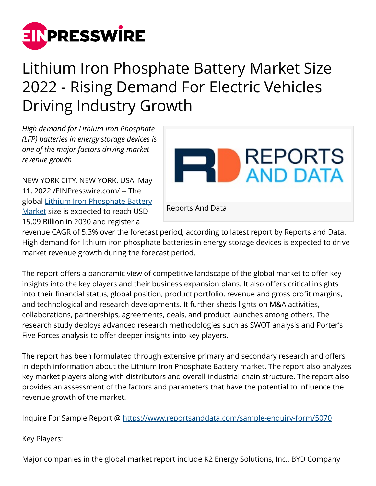

## Lithium Iron Phosphate Battery Market Size 2022 - Rising Demand For Electric Vehicles Driving Industry Growth

*High demand for Lithium Iron Phosphate (LFP) batteries in energy storage devices is one of the major factors driving market revenue growth*

NEW YORK CITY, NEW YORK, USA, May 11, 2022 /[EINPresswire.com/](http://www.einpresswire.com) -- The global [Lithium Iron Phosphate Battery](https://www.reportsanddata.com/report-detail/lithium-iron-phosphate-battery-market) [Market](https://www.reportsanddata.com/report-detail/lithium-iron-phosphate-battery-market) size is expected to reach USD 15.09 Billion in 2030 and register a



revenue CAGR of 5.3% over the forecast period, according to latest report by Reports and Data. High demand for lithium iron phosphate batteries in energy storage devices is expected to drive market revenue growth during the forecast period.

The report offers a panoramic view of competitive landscape of the global market to offer key insights into the key players and their business expansion plans. It also offers critical insights into their financial status, global position, product portfolio, revenue and gross profit margins, and technological and research developments. It further sheds lights on M&A activities, collaborations, partnerships, agreements, deals, and product launches among others. The research study deploys advanced research methodologies such as SWOT analysis and Porter's Five Forces analysis to offer deeper insights into key players.

The report has been formulated through extensive primary and secondary research and offers in-depth information about the Lithium Iron Phosphate Battery market. The report also analyzes key market players along with distributors and overall industrial chain structure. The report also provides an assessment of the factors and parameters that have the potential to influence the revenue growth of the market.

Inquire For Sample Report @ <https://www.reportsanddata.com/sample-enquiry-form/5070>

Key Players:

Major companies in the global market report include K2 Energy Solutions, Inc., BYD Company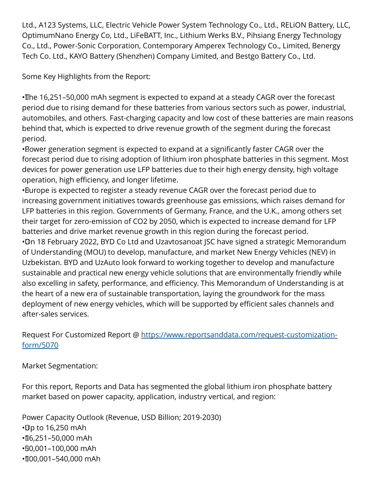Ltd., A123 Systems, LLC, Electric Vehicle Power System Technology Co., Ltd., RELiON Battery, LLC, OptimumNano Energy Co, Ltd., LiFeBATT, Inc., Lithium Werks B.V., Pihsiang Energy Technology Co., Ltd., Power-Sonic Corporation, Contemporary Amperex Technology Co., Limited, Benergy Tech Co. Ltd., KAYO Battery (Shenzhen) Company Limited, and Bestgo Battery Co., Ltd.

Some Key Highlights from the Report:

• The 16,251–50,000 mAh segment is expected to expand at a steady CAGR over the forecast period due to rising demand for these batteries from various sectors such as power, industrial, automobiles, and others. Fast-charging capacity and low cost of these batteries are main reasons behind that, which is expected to drive revenue growth of the segment during the forecast period.

• Power generation segment is expected to expand at a significantly faster CAGR over the forecast period due to rising adoption of lithium iron phosphate batteries in this segment. Most devices for power generation use LFP batteries due to their high energy density, high voltage operation, high efficiency, and longer lifetime.

• Burope is expected to register a steady revenue CAGR over the forecast period due to increasing government initiatives towards greenhouse gas emissions, which raises demand for LFP batteries in this region. Governments of Germany, France, and the U.K., among others set their target for zero-emission of CO2 by 2050, which is expected to increase demand for LFP batteries and drive market revenue growth in this region during the forecast period. • On 18 February 2022, BYD Co Ltd and Uzavtosanoat JSC have signed a strategic Memorandum of Understanding (MOU) to develop, manufacture, and market New Energy Vehicles (NEV) in

Uzbekistan. BYD and UzAuto look forward to working together to develop and manufacture sustainable and practical new energy vehicle solutions that are environmentally friendly while also excelling in safety, performance, and efficiency. This Memorandum of Understanding is at the heart of a new era of sustainable transportation, laying the groundwork for the mass deployment of new energy vehicles, which will be supported by efficient sales channels and after-sales services.

Request For Customized Report @ [https://www.reportsanddata.com/request-customization](https://www.reportsanddata.com/request-customization-form/5070)[form/5070](https://www.reportsanddata.com/request-customization-form/5070)

Market Segmentation:

For this report, Reports and Data has segmented the global lithium iron phosphate battery market based on power capacity, application, industry vertical, and region:

Power Capacity Outlook (Revenue, USD Billion; 2019-2030)  $\cdot$ Up to 16,250 mAh • 16,251–50,000 mAh • 50,001–100,000 mAh • 100,001–540,000 mAh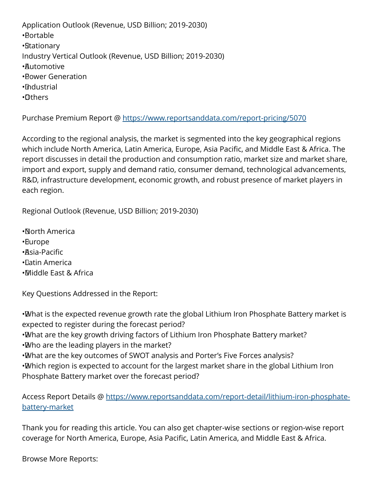Application Outlook (Revenue, USD Billion; 2019-2030) • Portable • Stationary Industry Vertical Outlook (Revenue, USD Billion; 2019-2030) • Automotive • Power Generation • Industrial • Others

Purchase Premium Report @ <https://www.reportsanddata.com/report-pricing/5070>

According to the regional analysis, the market is segmented into the key geographical regions which include North America, Latin America, Europe, Asia Pacific, and Middle East & Africa. The report discusses in detail the production and consumption ratio, market size and market share, import and export, supply and demand ratio, consumer demand, technological advancements, R&D, infrastructure development, economic growth, and robust presence of market players in each region.

Regional Outlook (Revenue, USD Billion; 2019-2030)

• North America • Europe • Asia-Pacific • Latin America • Middle East & Africa

Key Questions Addressed in the Report:

• What is the expected revenue growth rate the global Lithium Iron Phosphate Battery market is expected to register during the forecast period?

• What are the key growth driving factors of Lithium Iron Phosphate Battery market?

• Who are the leading players in the market?

• What are the key outcomes of SWOT analysis and Porter's Five Forces analysis?

• Which region is expected to account for the largest market share in the global Lithium Iron Phosphate Battery market over the forecast period?

Access Report Details @ [https://www.reportsanddata.com/report-detail/lithium-iron-phosphate](https://www.reportsanddata.com/report-detail/lithium-iron-phosphate-battery-market)[battery-market](https://www.reportsanddata.com/report-detail/lithium-iron-phosphate-battery-market)

Thank you for reading this article. You can also get chapter-wise sections or region-wise report coverage for North America, Europe, Asia Pacific, Latin America, and Middle East & Africa.

Browse More Reports: